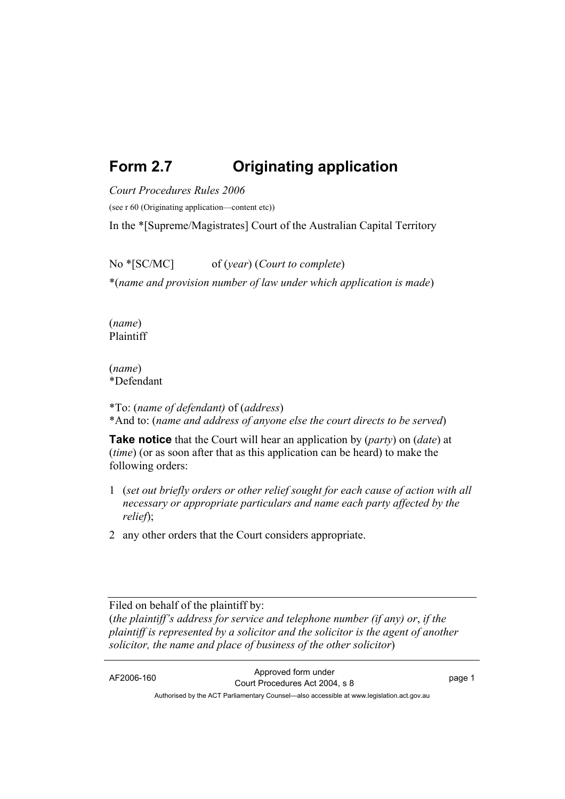# **Form 2.7 Originating application**

*Court Procedures Rules 2006*

(see r 60 (Originating application—content etc))

In the \*[Supreme/Magistrates] Court of the Australian Capital Territory

No \*[SC/MC] of (*year*) (*Court to complete*) \*(*name and provision number of law under which application is made*)

(*name*) Plaintiff

(*name*) \*Defendant

\*To: (*name of defendant)* of (*address*) \*And to: (*name and address of anyone else the court directs to be served*)

**Take notice** that the Court will hear an application by (*party*) on (*date*) at (*time*) (or as soon after that as this application can be heard) to make the following orders:

- 1 (*set out briefly orders or other relief sought for each cause of action with all necessary or appropriate particulars and name each party affected by the relief*);
- 2 any other orders that the Court considers appropriate.

Filed on behalf of the plaintiff by:

(*the plaintiff's address for service and telephone number (if any) or*, *if the plaintiff is represented by a solicitor and the solicitor is the agent of another solicitor, the name and place of business of the other solicitor*)

AF2006-160 Approved form under Court Procedures Act 2004, s 8 page 1 Authorised by the ACT Parliamentary Counsel—also accessible at www.legislation.act.gov.au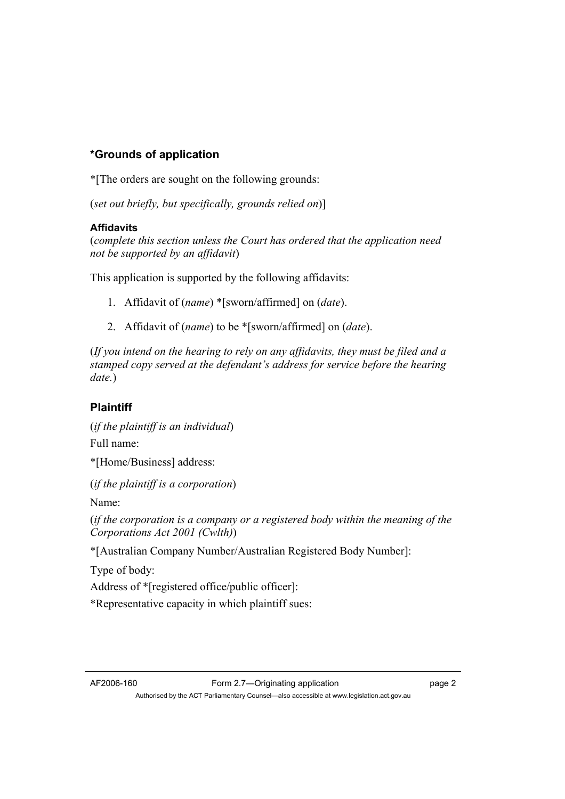# **\*Grounds of application**

\*[The orders are sought on the following grounds:

(*set out briefly, but specifically, grounds relied on*)]

## **Affidavits**

(*complete this section unless the Court has ordered that the application need not be supported by an affidavit*)

This application is supported by the following affidavits:

- 1. Affidavit of (*name*) \*[sworn/affirmed] on (*date*).
- 2. Affidavit of (*name*) to be \*[sworn/affirmed] on (*date*).

(*If you intend on the hearing to rely on any affidavits, they must be filed and a stamped copy served at the defendant's address for service before the hearing date.*)

# **Plaintiff**

(*if the plaintiff is an individual*) Full name:

\*[Home/Business] address:

(*if the plaintiff is a corporation*)

Name:

(*if the corporation is a company or a registered body within the meaning of the Corporations Act 2001 (Cwlth)*)

\*[Australian Company Number/Australian Registered Body Number]:

Type of body:

Address of \*[registered office/public officer]:

\*Representative capacity in which plaintiff sues: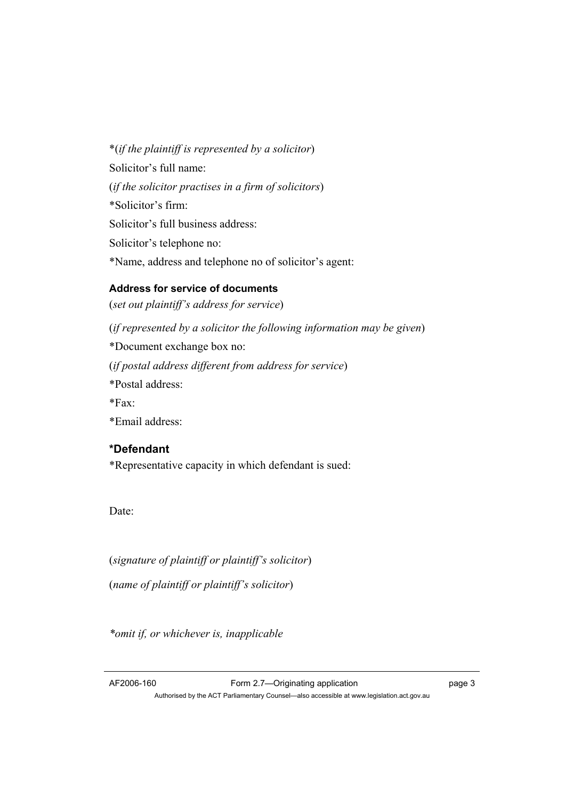\*(*if the plaintiff is represented by a solicitor*) Solicitor's full name: (*if the solicitor practises in a firm of solicitors*) \*Solicitor's firm: Solicitor's full business address: Solicitor's telephone no: \*Name, address and telephone no of solicitor's agent:

#### **Address for service of documents**

(*set out plaintiff's address for service*) (*if represented by a solicitor the following information may be given*) \*Document exchange box no: (*if postal address different from address for service*) \*Postal address:  $*Fax$ \*Email address:

## **\*Defendant**

\*Representative capacity in which defendant is sued:

Date:

(*signature of plaintiff or plaintiff's solicitor*)

(*name of plaintiff or plaintiff's solicitor*)

*\*omit if, or whichever is, inapplicable*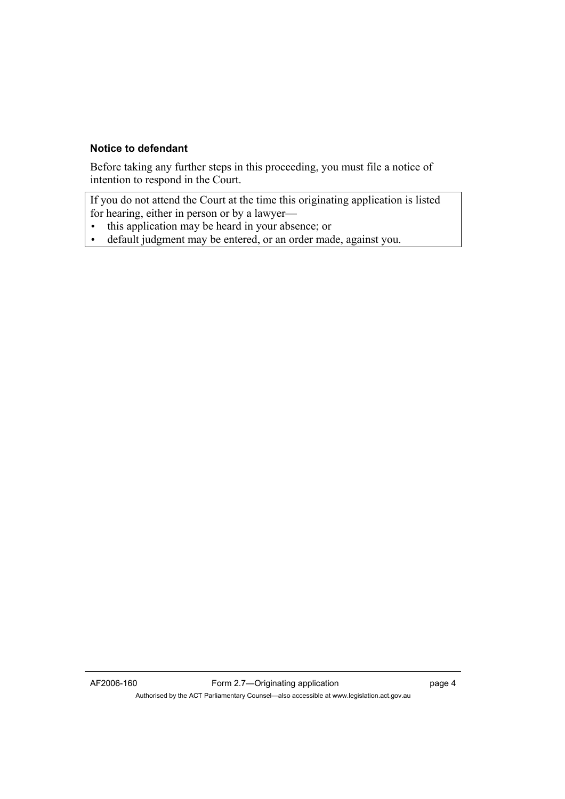#### **Notice to defendant**

Before taking any further steps in this proceeding, you must file a notice of intention to respond in the Court.

If you do not attend the Court at the time this originating application is listed for hearing, either in person or by a lawyer—

- this application may be heard in your absence; or
- default judgment may be entered, or an order made, against you.